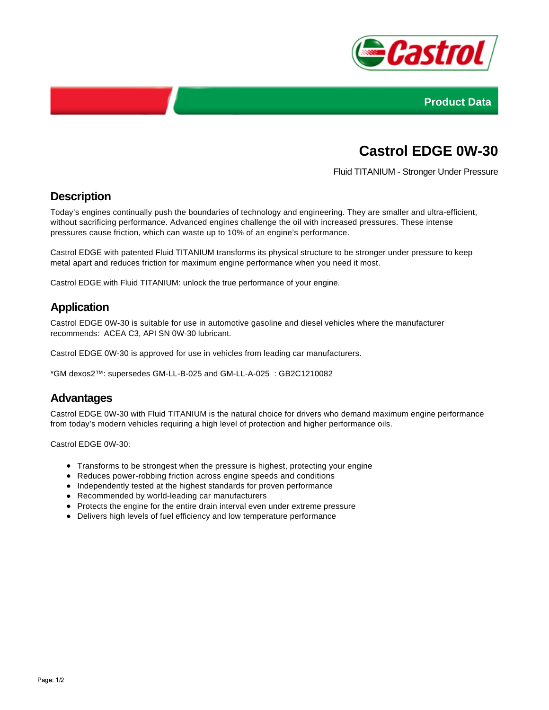



# **Castrol EDGE 0W-30**

Fluid TITANIUM - Stronger Under Pressure

## **Description**

Today's engines continually push the boundaries of technology and engineering. They are smaller and ultra-efficient, without sacrificing performance. Advanced engines challenge the oil with increased pressures. These intense pressures cause friction, which can waste up to 10% of an engine's performance.

Castrol EDGE with patented Fluid TITANIUM transforms its physical structure to be stronger under pressure to keep metal apart and reduces friction for maximum engine performance when you need it most.

Castrol EDGE with Fluid TITANIUM: unlock the true performance of your engine.

## **Application**

Castrol EDGE 0W-30 is suitable for use in automotive gasoline and diesel vehicles where the manufacturer recommends: ACEA C3, API SN 0W-30 lubricant.

Castrol EDGE 0W-30 is approved for use in vehicles from leading car manufacturers.

\*GM dexos2™: supersedes GM-LL-B-025 and GM-LL-A-025 : GB2C1210082

#### **Advantages**

Castrol EDGE 0W-30 with Fluid TITANIUM is the natural choice for drivers who demand maximum engine performance from today's modern vehicles requiring a high level of protection and higher performance oils.

Castrol EDGE 0W-30:

- Transforms to be strongest when the pressure is highest, protecting your engine
- Reduces power-robbing friction across engine speeds and conditions
- Independently tested at the highest standards for proven performance
- Recommended by world-leading car manufacturers
- Protects the engine for the entire drain interval even under extreme pressure
- Delivers high levels of fuel efficiency and low temperature performance